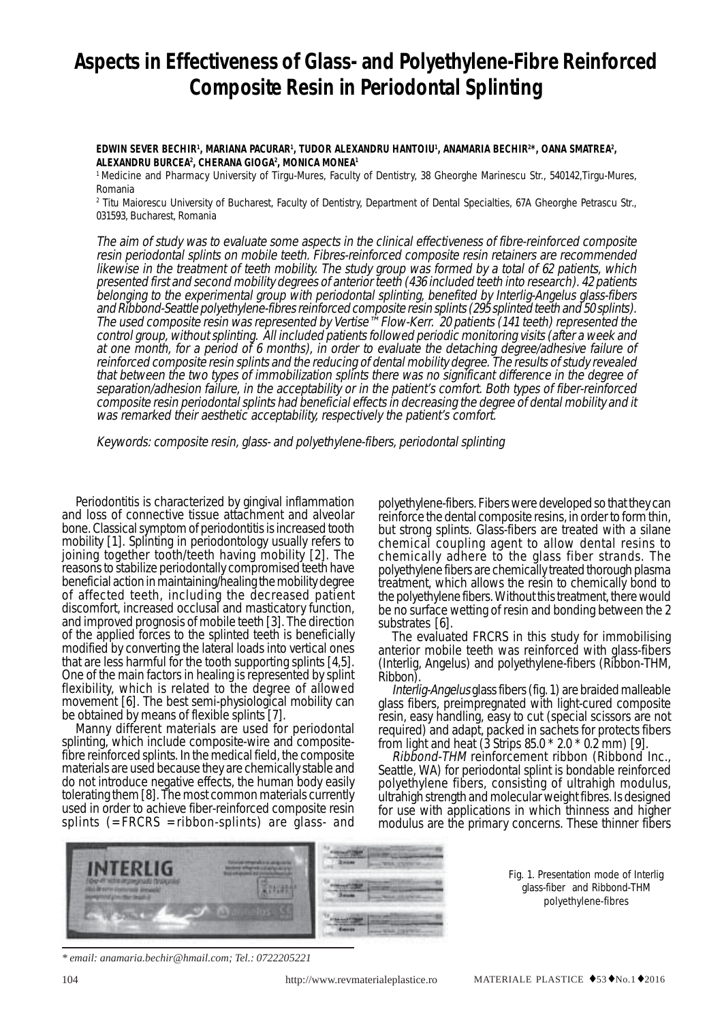# **Aspects in Effectiveness of Glass- and Polyethylene-Fibre Reinforced Composite Resin in Periodontal Splinting**

### **EDWIN SEVER BECHIR1 , MARIANA PACURAR1 , TUDOR ALEXANDRU HANTOIU1 , ANAMARIA BECHIR2 \*, OANA SMATREA2 , ALEXANDRU BURCEA2 , CHERANA GIOGA2 , MONICA MONEA1**

<sup>1</sup> Medicine and Pharmacy University of Tirgu-Mures, Faculty of Dentistry, 38 Gheorghe Marinescu Str., 540142,Tirgu-Mures, Romania

2 Titu Maiorescu University of Bucharest, Faculty of Dentistry, Department of Dental Specialties, 67A Gheorghe Petrascu Str., 031593, Bucharest, Romania

The aim of study was to evaluate some aspects in the clinical effectiveness of fibre-reinforced composite resin periodontal splints on mobile teeth. Fibres-reinforced composite resin retainers are recommended likewise in the treatment of teeth mobility. The study group was formed by a total of 62 patients, which presented first and second mobility degrees of anterior teeth (436 included teeth into research). 42 patients belonging to the experimental group with periodontal splinting, benefited by Interlig-Angelus glass-fibers and Ribbond-Seattle polyethylene-fibres reinforced composite resin splints (295 splinted teeth and 50 splints). The used composite resin was represented by Vertise™ Flow-Kerr. 20 patients (141 teeth) represented the control group, without splinting. All included patients followed periodic monitoring visits (after a week and at one month, for a period of 6 months), in order to evaluate the detaching degree/adhesive failure of reinforced composite resin splints and the reducing of dental mobility degree. The results of study revealed that between the two types of immobilization splints there was no significant difference in the degree of separation/adhesion failure, in the acceptability or in the patient's comfort. Both types of fiber-reinforced composite resin periodontal splints had beneficial effects in decreasing the degree of dental mobility and it was remarked their aesthetic acceptability, respectively the patient's comfort.

Keywords: composite resin, glass- and polyethylene-fibers, periodontal splinting

Periodontitis is characterized by gingival inflammation and loss of connective tissue attachment and alveolar bone. Classical symptom of periodontitis is increased tooth mobility [1]. Splinting in periodontology usually refers to joining together tooth/teeth having mobility [2]. The reasons to stabilize periodontally compromised teeth have beneficial action in maintaining/healing the mobility degree of affected teeth, including the decreased patient discomfort, increased occlusal and masticatory function, and improved prognosis of mobile teeth [3]. The direction of the applied forces to the splinted teeth is beneficially modified by converting the lateral loads into vertical ones that are less harmful for the tooth supporting splints [4,5]. One of the main factors in healing is represented by splint flexibility, which is related to the degree of allowed movement [6]. The best semi-physiological mobility can be obtained by means of flexible splints [7].

Manny different materials are used for periodontal splinting, which include composite-wire and compositefibre reinforced splints. In the medical field, the composite materials are used because they are chemically stable and do not introduce negative effects, the human body easily tolerating them [8]. The most common materials currently used in order to achieve fiber-reinforced composite resin splints  $(=FRCRS = ribbon-splints)$  are glass- and polyethylene-fibers. Fibers were developed so that they can reinforce the dental composite resins, in order to form thin, but strong splints. Glass-fibers are treated with a silane chemical coupling agent to allow dental resins to chemically adhere to the glass fiber strands. The polyethylene fibers are chemically treated thorough plasma treatment, which allows the resin to chemically bond to the polyethylene fibers. Without this treatment, there would be no surface wetting of resin and bonding between the 2 substrates [6].

The evaluated FRCRS in this study for immobilising anterior mobile teeth was reinforced with glass-fibers (Interlig, Angelus) and polyethylene-fibers (Ribbon-THM,

Ribbon).<br>*Interlig-Angelus* glass fibers (fig. 1) are braided malleable glass fibers, preimpregnated with light-cured composite resin, easy handling, easy to cut (special scissors are not required) and adapt, packed in sachets for protects fibers from light and heat (3 Strips 85.0 \* 2.0 \* 0.2 mm) [9].

Ribbond-THM reinforcement ribbon (Ribbond Inc., Seattle, WA) for periodontal splint is bondable reinforced polyethylene fibers, consisting of ultrahigh modulus, ultrahigh strength and molecular weight fibres. Is designed for use with applications in which thinness and higher modulus are the primary concerns. These thinner fibers



*\* email: anamaria.bechir@hmail.com; Tel.: 0722205221*

Fig. 1. Presentation mode of Interlig glass-fiber and Ribbond-THM polyethylene-fibres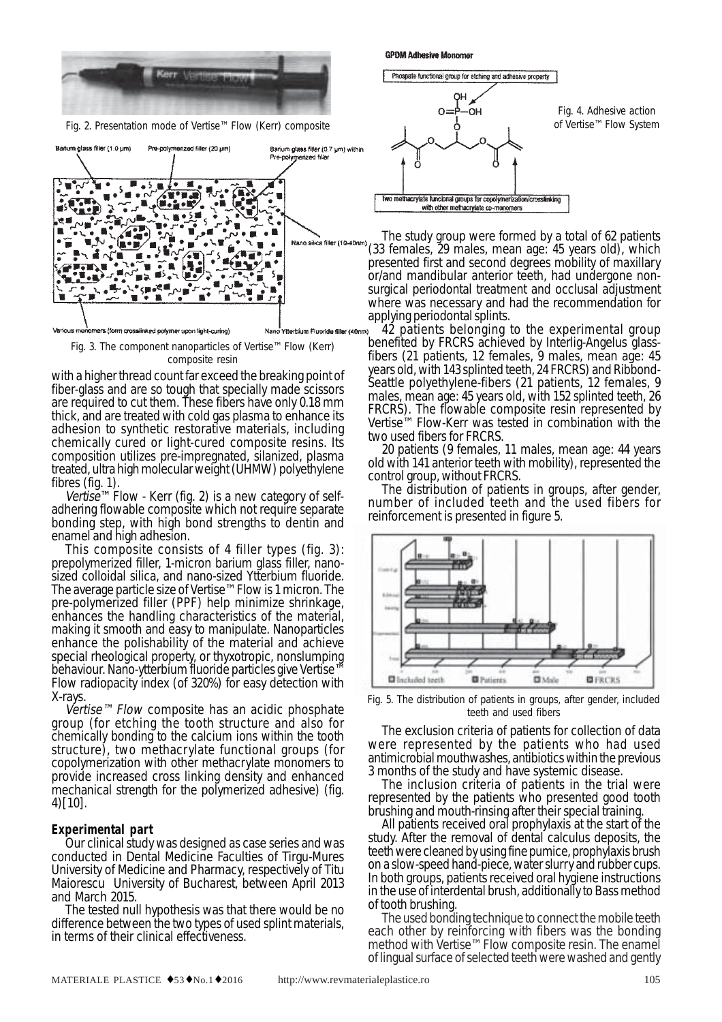

Fig. 2. Presentation mode of Vertise™ Flow (Kerr) composite



Fig. 3. The component nanoparticles of Vertise™ Flow (Kerr) composite resin

with a higher thread count far exceed the breaking point of fiber-glass and are so tough that specially made scissors are required to cut them. These fibers have only 0.18 mm thick, and are treated with cold gas plasma to enhance its adhesion to synthetic restorative materials, including chemically cured or light-cured composite resins. Its composition utilizes pre-impregnated, silanized, plasma treated, ultra high molecular weight (UHMW) polyethylene

fibres (fig. 1).<br>Vertise<sup>™</sup> Flow - Kerr (fig. 2) is a new category of selfadhering flowable composite which not require separate bonding step, with high bond strengths to dentin and enamel and high adhesion.

This composite consists of 4 filler types (fig. 3): prepolymerized filler, 1-micron barium glass filler, nanosized colloidal silica, and nano-sized Ytterbium fluoride. The average particle size of Vertise™ Flow is 1 micron. The pre-polymerized filler (PPF) help minimize shrinkage, enhances the handling characteristics of the material, making it smooth and easy to manipulate. Nanoparticles enhance the polishability of the material and achieve special rheological property, or thyxotropic, nonslumping behaviour. Nano-ytterbium fluoride particles give Vertise™ Flow radiopacity index (of 320%) for easy detection with X-rays.

 $Vertize^{m} Flow$  composite has an acidic phosphate group (for etching the tooth structure and also for chemically bonding to the calcium ions within the tooth structure), two methacrylate functional groups (for copolymerization with other methacrylate monomers to provide increased cross linking density and enhanced mechanical strength for the polymerized adhesive) (fig. 4)[10].

#### **Experimental part**

Our clinical study was designed as case series and was conducted in Dental Medicine Faculties of Tirgu-Mures University of Medicine and Pharmacy, respectively of Titu Maiorescu University of Bucharest, between April 2013 and March 2015.

The tested null hypothesis was that there would be no difference between the two types of used splint materials, in terms of their clinical effectiveness.



**GPDM Adhesive Monomer** 

The study group were formed by a total of 62 patients (33 females, 29 males, mean age: 45 years old), which presented first and second degrees mobility of maxillary or/and mandibular anterior teeth, had undergone nonsurgical periodontal treatment and occlusal adjustment where was necessary and had the recommendation for applying periodontal splints.

<sup>42</sup> patients belonging to the experimental group benefited by FRCRS achieved by Interlig-Angelus glassfibers (21 patients, 12 females, 9 males, mean age: 45 years old, with 143 splinted teeth, 24 FRCRS) and Ribbond-Seattle polyethylene-fibers (21 patients, 12 females, 9 males, mean age: 45 years old, with 152 splinted teeth, 26 FRCRS). The flowable composite resin represented by Vertise™ Flow-Kerr was tested in combination with the two used fibers for FRCRS.<br>20 patients (9 females, 11 males, mean age: 44 years

old with 141 anterior teeth with mobility), represented the control group, without FRCRS.

The distribution of patients in groups, after gender, number of included teeth and the used fibers for reinforcement is presented in figure 5.



Fig. 5. The distribution of patients in groups, after gender, included teeth and used fibers

The exclusion criteria of patients for collection of data were represented by the patients who had used antimicrobial mouthwashes, antibiotics within the previous 3 months of the study and have systemic disease.

The inclusion criteria of patients in the trial were represented by the patients who presented good tooth brushing and mouth-rinsing after their special training.

All patients received oral prophylaxis at the start of the study. After the removal of dental calculus deposits, the teeth were cleaned by using fine pumice, prophylaxis brush on a slow-speed hand-piece, water slurry and rubber cups. In both groups, patients received oral hygiene instructions in the use of interdental brush, additionally to Bass method of tooth brushing.

The used bonding technique to connect the mobile teeth each other by reinforcing with fibers was the bonding method with Vertise™ Flow composite resin. The enamel of lingual surface of selected teeth were washed and gently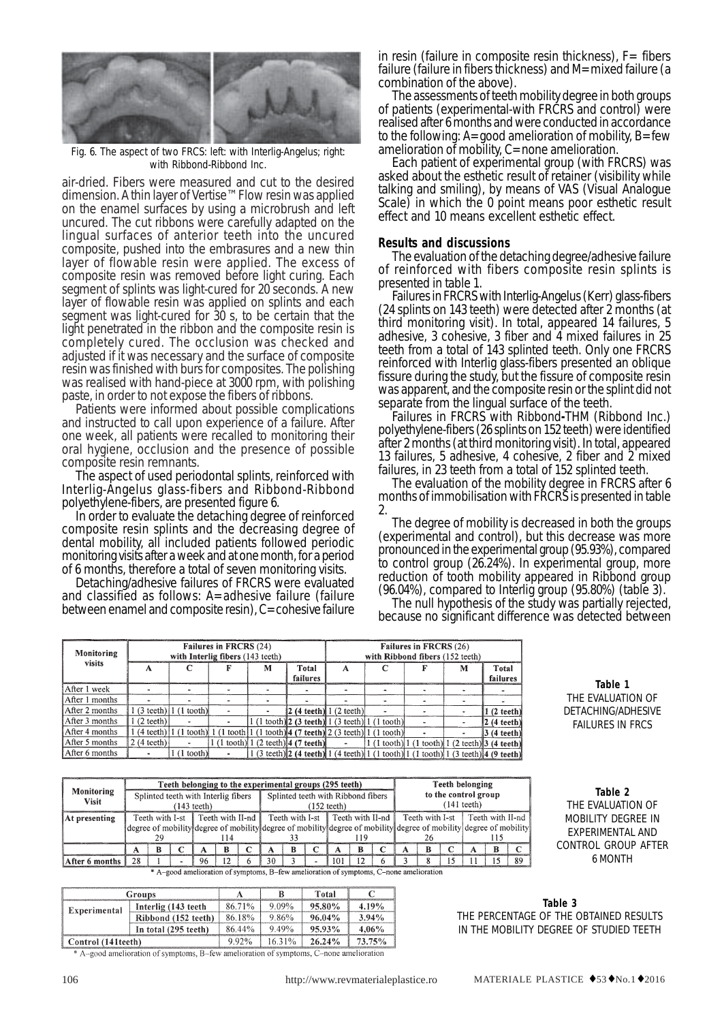

Fig. 6. The aspect of two FRCS: left: with Interlig-Angelus; right: with Ribbond-Ribbond Inc.

air-dried. Fibers were measured and cut to the desired dimension. A thin layer of Vertise™ Flow resin was applied on the enamel surfaces by using a microbrush and left uncured. The cut ribbons were carefully adapted on the lingual surfaces of anterior teeth into the uncured composite, pushed into the embrasures and a new thin layer of flowable resin were applied. The excess of composite resin was removed before light curing. Each segment of splints was light-cured for 20 seconds. A new layer of flowable resin was applied on splints and each segment was light-cured for 30 s, to be certain that the light penetrated in the ribbon and the composite resin is completely cured. The occlusion was checked and adjusted if it was necessary and the surface of composite resin was finished with burs for composites. The polishing was realised with hand-piece at 3000 rpm, with polishing paste, in order to not expose the fibers of ribbons.

Patients were informed about possible complications and instructed to call upon experience of a failure. After one week, all patients were recalled to monitoring their oral hygiene, occlusion and the presence of possible composite resin remnants.

The aspect of used periodontal splints, reinforced with Interlig-Angelus glass-fibers and Ribbond-Ribbond

In order to evaluate the detaching degree of reinforced composite resin splints and the decreasing degree of dental mobility, all included patients followed periodic monitoring visits after a week and at one month, for a period

of 6 months, therefore a total of seven monitoring visits. and classified as follows: A=adhesive failure (failure between enamel and composite resin), C=cohesive failure in resin (failure in composite resin thickness),  $F=$  fibers failure (failure in fibers thickness) and M=mixed failure (a combination of the above).<br>The assessments of teeth mobility degree in both groups

of patients (experimental-with FRCRS and control) were realised after 6 months and were conducted in accordance to the following:  $A = \text{good}$  amelioration of mobility,  $B = \text{few}$ amelioration of mobility, C=none amelioration.

Each patient of experimental group (with FRCRS) was asked about the esthetic result of retainer (visibility while talking and smiling), by means of VAS (Visual Analogue Scale) in which the 0 point means poor esthetic result effect and 10 means excellent esthetic effect.

### **Results and discussions**

The evaluation of the detaching degree/adhesive failure of reinforced with fibers composite resin splints is presented in table 1.

Failures in FRCRS with Interlig-Angelus (Kerr) glass-fibers (24 splints on 143 teeth) were detected after 2 months (at third monitoring visit). In total, appeared 14 failures, 5 adhesive, 3 cohesive, 3 fiber and 4 mixed failures in 25 teeth from a total of 143 splinted teeth. Only one FRCRS reinforced with Interlig glass-fibers presented an oblique fissure during the study, but the fissure of composite resin was apparent, and the composite resin or the splint did not separate from the lingual surface of the teeth.

Failures in FRCRS with Ribbond**-**THM (Ribbond Inc.) polyethylene-fibers (26 splints on 152 teeth) were identified after 2 months (at third monitoring visit). In total, appeared 13 failures, 5 adhesive, 4 cohesive, 2 fiber and 2 mixed failures, in 23 teeth from a total of 152 splinted teeth.

The evaluation of the mobility degree in FRCRS after 6 months of immobilisation with FRCRS is presented in table 2.

The degree of mobility is decreased in both the groups (experimental and control), but this decrease was more pronounced in the experimental group (95.93%), compared to control group (26.24%). In experimental group, more reduction of tooth mobility appeared in Ribbond group (96.04%), compared to Interlig group (95.80%) (table 3).<br>The null hypothesis of the study was partially rejected,

because no significant difference was detected between

| Monitoring     |                      |                                                                                                                                        | Failures in FRCRS (24)<br>with Interlig fibers (143 teeth) |   |                                        | Failures in FRCRS (26)<br>with Ribbond fibers (152 teeth)         |                                                                  |  |   |                                                                                             |  |  |
|----------------|----------------------|----------------------------------------------------------------------------------------------------------------------------------------|------------------------------------------------------------|---|----------------------------------------|-------------------------------------------------------------------|------------------------------------------------------------------|--|---|---------------------------------------------------------------------------------------------|--|--|
| visits         |                      |                                                                                                                                        |                                                            | м | Total<br>failures                      | А                                                                 |                                                                  |  | M | Total<br>failures                                                                           |  |  |
| After 1 week   |                      |                                                                                                                                        |                                                            |   |                                        |                                                                   |                                                                  |  |   |                                                                                             |  |  |
| After 1 months |                      |                                                                                                                                        |                                                            |   |                                        |                                                                   |                                                                  |  |   |                                                                                             |  |  |
| After 2 months |                      | $1(3 \text{ teeth})$ $1(1 \text{ tooth})$                                                                                              |                                                            |   |                                        | $\left 2\right\rangle$ (4 teeth) $\left 1\right\rangle$ (2 teeth) |                                                                  |  |   | $(2 \text{ teeth})$                                                                         |  |  |
| After 3 months | $1(2 \text{ teeth})$ |                                                                                                                                        |                                                            |   |                                        |                                                                   | $1(1 \text{ tooth})$ 2 (3 teeth $1(3 \text{ teeth})$ 1 (1 tooth) |  |   | $ 2(4 \text{ teeth}) $                                                                      |  |  |
| After 4 months |                      | $1(4 \text{ teeth}) 1(1 \text{ tooth}) 1(1 \text{ tooth} 1(1 \text{ tooth}) 4(7 \text{ teeth}) 2(3 \text{ teeth}) 1(1 \text{ tooth}) $ |                                                            |   |                                        |                                                                   |                                                                  |  |   | $3(4\ttext{ teeth})$                                                                        |  |  |
| After 5 months | $2(4 \text{ teeth})$ |                                                                                                                                        |                                                            |   | $1(1$ tooth) $1(2$ teeth) $4(7$ teeth) | $\tilde{\phantom{a}}$                                             |                                                                  |  |   | $1(1 \text{ tooth})$ 1 (1 tooth) 1 (2 teeth) 3 (4 teeth)                                    |  |  |
| After 6 months |                      | $1(1$ tooth)                                                                                                                           |                                                            |   |                                        |                                                                   |                                                                  |  |   | $(3 \text{ teeth})$ 2 (4 teeth) 1 (4 teeth) 1 (1 tooth) 1 (1 tooth) 1 (3 teeth) 4 (9 teeth) |  |  |

**Table 1** THE EVALUATION OF DETACHING/ADHESIVE FAILURES IN FRCS

|                                                                                        | Teeth belonging to the experimental groups (295 teeth)                                                            |  |  |    |    |  |                                                             |  |  |     | <b>Teeth belonging</b> |                                                                   |  |   |    |  |  |    |
|----------------------------------------------------------------------------------------|-------------------------------------------------------------------------------------------------------------------|--|--|----|----|--|-------------------------------------------------------------|--|--|-----|------------------------|-------------------------------------------------------------------|--|---|----|--|--|----|
| Monitoring<br><b>Visit</b>                                                             | Splinted teeth with Interlig fibers<br>$(143 \text{ teeth})$                                                      |  |  |    |    |  | Splinted teeth with Ribbond fibers<br>$(152 \text{ teeth})$ |  |  |     |                        | to the control group<br>$(141 \text{ teeth})$                     |  |   |    |  |  |    |
| At presenting                                                                          | Teeth with I-st   Teeth with II-nd                                                                                |  |  |    |    |  |                                                             |  |  |     |                        | Teeth with I-st Teeth with II-nd Teeth with I-st Teeth with II-nd |  |   |    |  |  |    |
|                                                                                        | degree of mobility degree of mobility degree of mobility degree of mobility degree of mobility degree of mobility |  |  |    |    |  |                                                             |  |  |     |                        |                                                                   |  |   |    |  |  |    |
|                                                                                        |                                                                                                                   |  |  |    |    |  |                                                             |  |  |     |                        |                                                                   |  |   |    |  |  |    |
|                                                                                        |                                                                                                                   |  |  | А  | R  |  | А                                                           |  |  |     |                        |                                                                   |  | R |    |  |  |    |
| After 6 months                                                                         | 28                                                                                                                |  |  | 96 | 12 |  | 30                                                          |  |  | 101 | 12                     |                                                                   |  |   | 15 |  |  | 89 |
| * A-good amelioration of symptoms, B-few amelioration of symptoms, C-none amelioration |                                                                                                                   |  |  |    |    |  |                                                             |  |  |     |                        |                                                                   |  |   |    |  |  |    |

|                    | Groups               |        |           | Total  |          |
|--------------------|----------------------|--------|-----------|--------|----------|
| Experimental       | Interlig (143 teeth) | 86.71% | 9.09%     | 95.80% | 4.19%    |
|                    | Ribbond (152 teeth)  | 86.18% | 9.86%     | 96.04% | 3.94%    |
|                    | In total (295 teeth) | 86.44% | $9.49\%$  | 95.93% | $4.06\%$ |
| Control (141teeth) | 9.92%                | 16.31% | $26.24\%$ | 73.75% |          |

\* A-good amelioration of symptoms, B-few amelioration of symptoms, C-none amelioration

**Table 2** THE EVALUATION OF MOBILITY DEGREE IN EXPERIMENTAL AND CONTROL GROUP AFTER 6 MONTH

**Table 3** THE PERCENTAGE OF THE OBTAINED RESULTS IN THE MOBILITY DEGREE OF STUDIED TEETH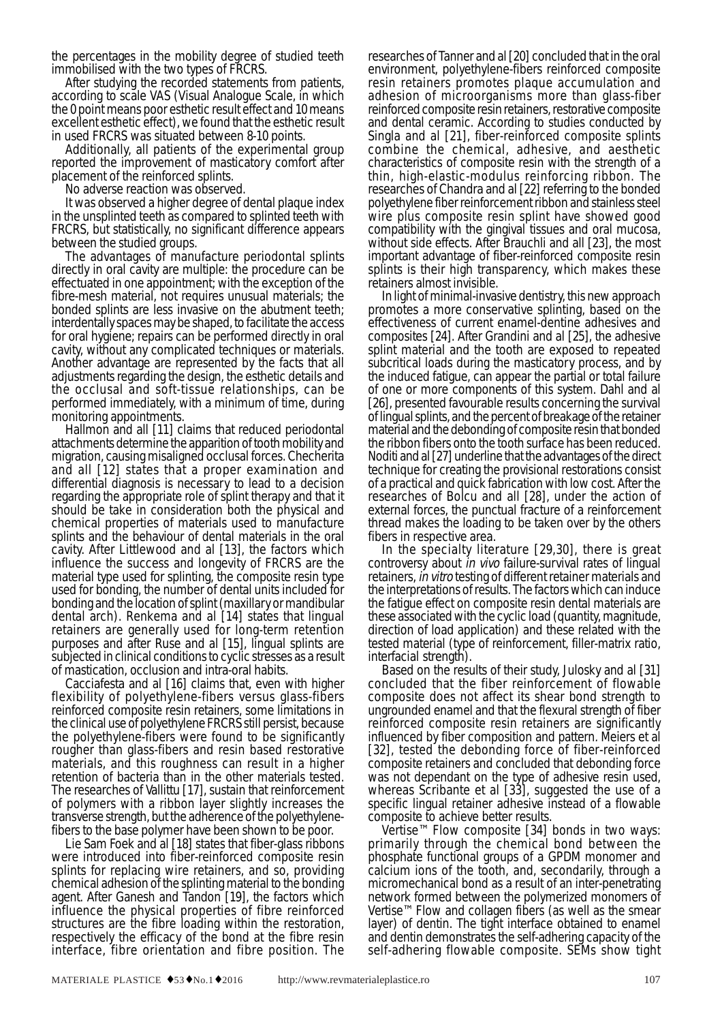the percentages in the mobility degree of studied teeth immobilised with the two types of FRCRS.

After studying the recorded statements from patients, according to scale VAS (Visual Analogue Scale, in which the 0 point means poor esthetic result effect and 10 means excellent esthetic effect), we found that the esthetic result in used FRCRS was situated between 8-10 points.

Additionally, all patients of the experimental group reported the improvement of masticatory comfort after placement of the reinforced splints.

No adverse reaction was observed.

It was observed a higher degree of dental plaque index in the unsplinted teeth as compared to splinted teeth with FRCRS, but statistically, no significant difference appears

between the studied groups.<br>The advantages of manufacture periodontal splints directly in oral cavity are multiple: the procedure can be effectuated in one appointment; with the exception of the fibre-mesh material, not requires unusual materials; the bonded splints are less invasive on the abutment teeth; interdentally spaces may be shaped, to facilitate the access for oral hygiene; repairs can be performed directly in oral cavity, without any complicated techniques or materials. Another advantage are represented by the facts that all adjustments regarding the design, the esthetic details and the occlusal and soft-tissue relationships, can be performed immediately, with a minimum of time, during monitoring appointments.

Hallmon and all [11] claims that reduced periodontal attachments determine the apparition of tooth mobility and migration, causing misaligned occlusal forces. Checherita and all [12] states that a proper examination and differential diagnosis is necessary to lead to a decision regarding the appropriate role of splint therapy and that it should be take in consideration both the physical and chemical properties of materials used to manufacture splints and the behaviour of dental materials in the oral cavity. After Littlewood and al [13], the factors which influence the success and longevity of FRCRS are the material type used for splinting, the composite resin type used for bonding, the number of dental units included for bonding and the location of splint (maxillary or mandibular dental arch). Renkema and al [14] states that lingual retainers are generally used for long-term retention purposes and after Ruse and al [15], lingual splints are subjected in clinical conditions to cyclic stresses as a result of mastication, occlusion and intra-oral habits.

Cacciafesta and al [16] claims that, even with higher flexibility of polyethylene-fibers versus glass-fibers reinforced composite resin retainers, some limitations in the clinical use of polyethylene FRCRS still persist, because the polyethylene-fibers were found to be significantly rougher than glass-fibers and resin based restorative materials, and this roughness can result in a higher retention of bacteria than in the other materials tested. The researches of Vallittu [17], sustain that reinforcement of polymers with a ribbon layer slightly increases the transverse strength, but the adherence of the polyethylenefibers to the base polymer have been shown to be poor.

Lie Sam Foek and al [18] states that fiber-glass ribbons were introduced into fiber-reinforced composite resin splints for replacing wire retainers, and so, providing chemical adhesion of the splinting material to the bonding agent. After Ganesh and Tandon [19], the factors which influence the physical properties of fibre reinforced structures are the fibre loading within the restoration, respectively the efficacy of the bond at the fibre resin interface, fibre orientation and fibre position. The

researches of Tanner and al [20] concluded that in the oral environment, polyethylene-fibers reinforced composite resin retainers promotes plaque accumulation and adhesion of microorganisms more than glass-fiber reinforced composite resin retainers, restorative composite and dental ceramic. According to studies conducted by Singla and al [21], fiber-reinforced composite splints combine the chemical, adhesive, and aesthetic characteristics of composite resin with the strength of a thin, high-elastic-modulus reinforcing ribbon. The researches of Chandra and al [22] referring to the bonded polyethylene fiber reinforcement ribbon and stainless steel wire plus composite resin splint have showed good compatibility with the gingival tissues and oral mucosa, without side effects. After Brauchli and all [23], the most important advantage of fiber-reinforced composite resin splints is their high transparency, which makes these

retainers almost invisible.<br>In light of minimal-invasive dentistry, this new approach promotes a more conservative splinting, based on the effectiveness of current enamel-dentine adhesives and composites [24]. After Grandini and al [25], the adhesive splint material and the tooth are exposed to repeated subcritical loads during the masticatory process, and by the induced fatigue, can appear the partial or total failure of one or more components of this system. Dahl and al [26], presented favourable results concerning the survival of lingual splints, and the percent of breakage of the retainer material and the debonding of composite resin that bonded the ribbon fibers onto the tooth surface has been reduced. Noditi and al [27] underline that the advantages of the direct technique for creating the provisional restorations consist of a practical and quick fabrication with low cost. After the researches of Bolcu and all [28], under the action of external forces, the punctual fracture of a reinforcement thread makes the loading to be taken over by the others fibers in respective area.

In the specialty literature [29,30], there is great controversy about in vivo failure-survival rates of lingual retainers, in vitro testing of different retainer materials and the interpretations of results. The factors which can induce the fatigue effect on composite resin dental materials are these associated with the cyclic load (quantity, magnitude, direction of load application) and these related with the tested material (type of reinforcement, filler-matrix ratio, interfacial strength).

Based on the results of their study, Julosky and al [31] concluded that the fiber reinforcement of flowable composite does not affect its shear bond strength to ungrounded enamel and that the flexural strength of fiber reinforced composite resin retainers are significantly influenced by fiber composition and pattern. Meiers et al [32], tested the debonding force of fiber-reinforced composite retainers and concluded that debonding force was not dependant on the type of adhesive resin used, whereas Scribante et al [33], suggested the use of a specific lingual retainer adhesive instead of a flowable composite to achieve better results.

Vertise™ Flow composite [34] bonds in two ways: primarily through the chemical bond between the phosphate functional groups of a GPDM monomer and calcium ions of the tooth, and, secondarily, through a network formed between the polymerized monomers of Vertise™ Flow and collagen fibers (as well as the smear layer) of dentin. The tight interface obtained to enamel and dentin demonstrates the self-adhering capacity of the self-adhering flowable composite. SEMs show tight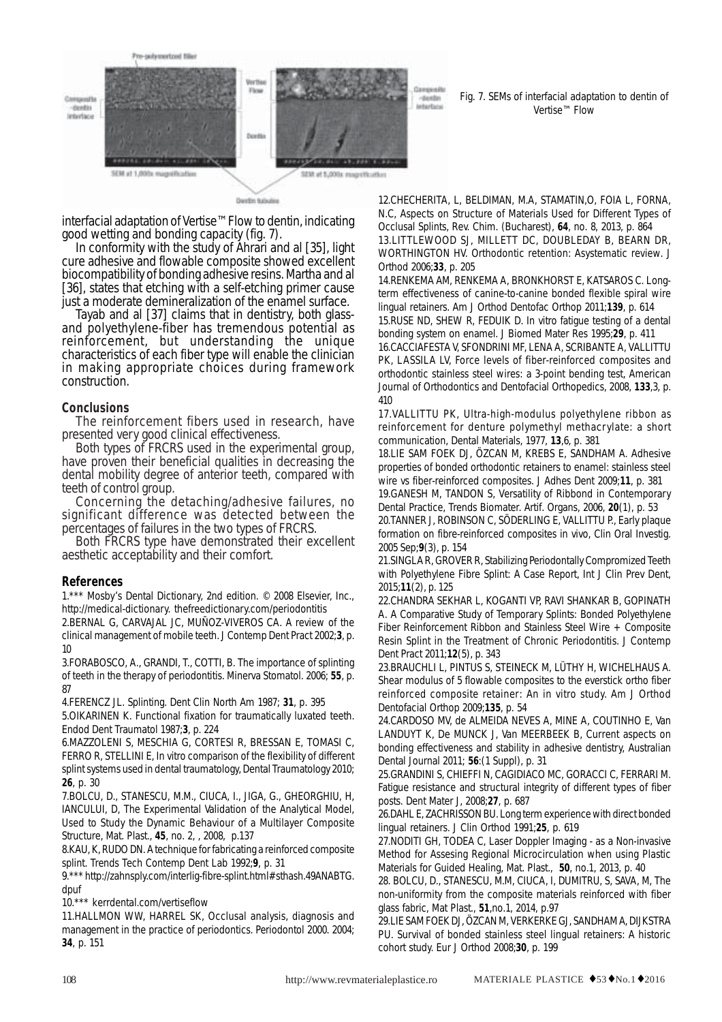

Derdin tobules

Fig. 7. SEMs of interfacial adaptation to dentin of Vertise™ Flow

interfacial adaptation of Vertise™ Flow to dentin, indicating good wetting and bonding capacity (fig. 7).

In conformity with the study of Ahrari and al [35], light cure adhesive and flowable composite showed excellent biocompatibility of bonding adhesive resins. Martha and al [36], states that etching with a self-etching primer cause

just a moderate demineralization of the enamel surface. Tayab and al [37] claims that in dentistry, both glassand polyethylene-fiber has tremendous potential as reinforcement, but understanding the unique characteristics of each fiber type will enable the clinician in making appropriate choices during framework construction.

## **Conclusions**

The reinforcement fibers used in research, have presented very good clinical effectiveness.

Both types of FRCRS used in the experimental group, have proven their beneficial qualities in decreasing the dental mobility degree of anterior teeth, compared with

teeth of control group.<br>Concerning the detaching/adhesive failures, no significant difference was detected between the percentages of failures in the two types of FRCRS.

Both FRCRS type have demonstrated their excellent aesthetic acceptability and their comfort.

## **References**

1.\*\*\* Mosby's Dental Dictionary, 2nd edition. © 2008 Elsevier, Inc., http://medical-dictionary. thefreedictionary.com/periodontitis

2.BERNAL G, CARVAJAL JC, MUÑOZ-VIVEROS CA. A review of the clinical management of mobile teeth. J Contemp Dent Pract 2002;**3**, p. 10

3.FORABOSCO, A., GRANDI, T., COTTI, B. The importance of splinting of teeth in the therapy of periodontitis. Minerva Stomatol. 2006; **55**, p. 87

4.FERENCZ JL. Splinting. Dent Clin North Am 1987; **31**, p. 395

5.OIKARINEN K. Functional fixation for traumatically luxated teeth. Endod Dent Traumatol 1987;**3**, p. 224

6.MAZZOLENI S, MESCHIA G, CORTESI R, BRESSAN E, TOMASI C, FERRO R, STELLINI E, In vitro comparison of the flexibility of different splint systems used in dental traumatology, Dental Traumatology 2010; **26**, p. 30

7.BOLCU, D., STANESCU, M.M., CIUCA, I., JIGA, G., GHEORGHIU, H, IANCULUI, D, The Experimental Validation of the Analytical Model, Used to Study the Dynamic Behaviour of a Multilayer Composite Structure, Mat. Plast., **45**, no. 2, , 2008, p.137

8.KAU, K, RUDO DN. A technique for fabricating a reinforced composite splint. Trends Tech Contemp Dent Lab 1992;**9**, p. 31

9.\*\*\* http://zahnsply.com/interlig-fibre-splint.html#sthash.49ANABTG. dpuf

10.\*\*\* kerrdental.com/vertiseflow

11.HALLMON WW, HARREL SK, Occlusal analysis, diagnosis and management in the practice of periodontics. Periodontol 2000. 2004; **34**, p. 151

12.CHECHERITA, L, BELDIMAN, M.A, STAMATIN,O, FOIA L, FORNA, N.C, Aspects on Structure of Materials Used for Different Types of Occlusal Splints, Rev. Chim. (Bucharest), **64**, no. 8, 2013, p. 864 13.LITTLEWOOD SJ, MILLETT DC, DOUBLEDAY B, BEARN DR, WORTHINGTON HV. Orthodontic retention: Asystematic review. J Orthod 2006;**33**, p. 205

14.RENKEMA AM, RENKEMA A, BRONKHORST E, KATSAROS C. Longterm effectiveness of canine-to-canine bonded flexible spiral wire lingual retainers. Am J Orthod Dentofac Orthop 2011;**139**, p. 614 15.RUSE ND, SHEW R, FEDUIK D. In vitro fatigue testing of a dental bonding system on enamel. J Biomed Mater Res 1995;**29**, p. 411

16.CACCIAFESTA V, SFONDRINI MF, LENA A, SCRIBANTE A, VALLITTU PK, LASSILA LV, Force levels of fiber-reinforced composites and orthodontic stainless steel wires: a 3-point bending test, American Journal of Orthodontics and Dentofacial Orthopedics, 2008, **133**,3, p. 410

17.VALLITTU PK, Ultra-high-modulus polyethylene ribbon as reinforcement for denture polymethyl methacrylate: a short communication, Dental Materials, 1977, **13**,6, p. 381

18.LIE SAM FOEK DJ, ÖZCAN M, KREBS E, SANDHAM A. Adhesive properties of bonded orthodontic retainers to enamel: stainless steel wire vs fiber-reinforced composites. J Adhes Dent 2009;**11**, p. 381

19.GANESH M, TANDON S, Versatility of Ribbond in Contemporary Dental Practice, Trends Biomater. Artif. Organs, 2006, **20**(1), p. 53

20.TANNER J, ROBINSON C, SÖDERLING E, VALLITTU P., Early plaque formation on fibre-reinforced composites in vivo, Clin Oral Investig. 2005 Sep;**9**(3), p. 154

21.SINGLA R, GROVER R, Stabilizing Periodontally Compromized Teeth with Polyethylene Fibre Splint: A Case Report, Int J Clin Prev Dent, 2015;**11**(2), p. 125

22.CHANDRA SEKHAR L, KOGANTI VP, RAVI SHANKAR B, GOPINATH A. A Comparative Study of Temporary Splints: Bonded Polyethylene Fiber Reinforcement Ribbon and Stainless Steel Wire + Composite Resin Splint in the Treatment of Chronic Periodontitis. J Contemp Dent Pract 2011;**12**(5), p. 343

23.BRAUCHLI L, PINTUS S, STEINECK M, LÜTHY H, WICHELHAUS A. Shear modulus of 5 flowable composites to the everstick ortho fiber reinforced composite retainer: An in vitro study. Am J Orthod Dentofacial Orthop 2009;**135**, p. 54

24.CARDOSO MV, de ALMEIDA NEVES A, MINE A, COUTINHO E, Van LANDUYT K, De MUNCK J, Van MEERBEEK B, Current aspects on bonding effectiveness and stability in adhesive dentistry, Australian Dental Journal 2011; **56**:(1 Suppl), p. 31

25.GRANDINI S, CHIEFFI N, CAGIDIACO MC, GORACCI C, FERRARI M. Fatigue resistance and structural integrity of different types of fiber posts. Dent Mater J, 2008;**27**, p. 687

26.DAHL E, ZACHRISSON BU. Long term experience with direct bonded lingual retainers. J Clin Orthod 1991;**25**, p. 619

27.NODITI GH, TODEA C, Laser Doppler Imaging - as a Non-invasive Method for Assesing Regional Microcirculation when using Plastic Materials for Guided Healing, Mat. Plast., **50**, no.1, 2013, p. 40

28. BOLCU, D., STANESCU, M.M, CIUCA, I, DUMITRU, S, SAVA, M, The non-uniformity from the composite materials reinforced with fiber glass fabric, Mat Plast., **51**,no.1, 2014, p.97

29.LIE SAM FOEK DJ, ÖZCAN M, VERKERKE GJ, SANDHAM A, DIJKSTRA PU. Survival of bonded stainless steel lingual retainers: A historic cohort study. Eur J Orthod 2008;**30**, p. 199